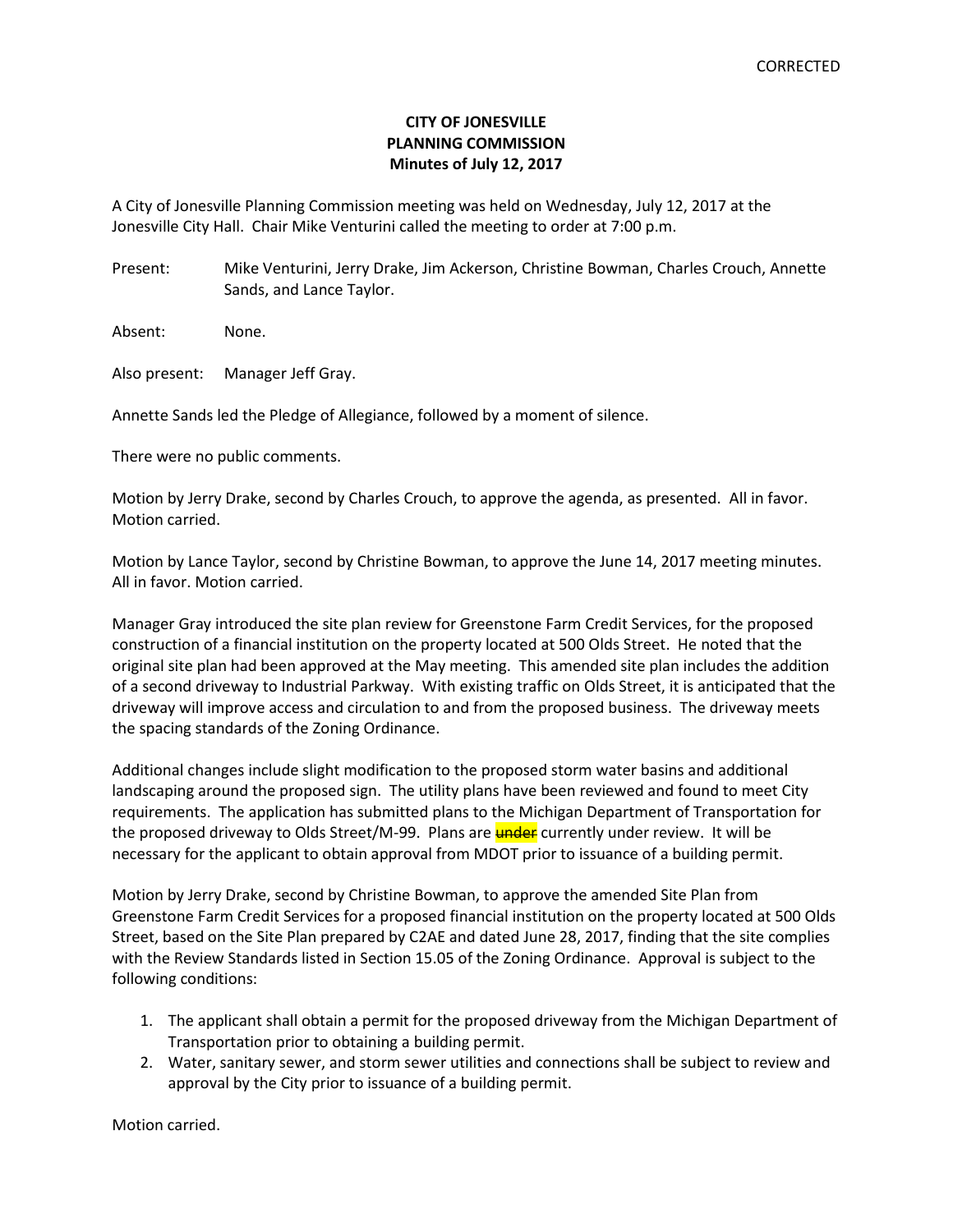## **CITY OF JONESVILLE PLANNING COMMISSION Minutes of July 12, 2017**

A City of Jonesville Planning Commission meeting was held on Wednesday, July 12, 2017 at the Jonesville City Hall. Chair Mike Venturini called the meeting to order at 7:00 p.m.

Present: Mike Venturini, Jerry Drake, Jim Ackerson, Christine Bowman, Charles Crouch, Annette Sands, and Lance Taylor.

Absent: None.

Also present: Manager Jeff Gray.

Annette Sands led the Pledge of Allegiance, followed by a moment of silence.

There were no public comments.

Motion by Jerry Drake, second by Charles Crouch, to approve the agenda, as presented. All in favor. Motion carried.

Motion by Lance Taylor, second by Christine Bowman, to approve the June 14, 2017 meeting minutes. All in favor. Motion carried.

Manager Gray introduced the site plan review for Greenstone Farm Credit Services, for the proposed construction of a financial institution on the property located at 500 Olds Street. He noted that the original site plan had been approved at the May meeting. This amended site plan includes the addition of a second driveway to Industrial Parkway. With existing traffic on Olds Street, it is anticipated that the driveway will improve access and circulation to and from the proposed business. The driveway meets the spacing standards of the Zoning Ordinance.

Additional changes include slight modification to the proposed storm water basins and additional landscaping around the proposed sign. The utility plans have been reviewed and found to meet City requirements. The application has submitted plans to the Michigan Department of Transportation for the proposed driveway to Olds Street/M-99. Plans are **under** currently under review. It will be necessary for the applicant to obtain approval from MDOT prior to issuance of a building permit.

Motion by Jerry Drake, second by Christine Bowman, to approve the amended Site Plan from Greenstone Farm Credit Services for a proposed financial institution on the property located at 500 Olds Street, based on the Site Plan prepared by C2AE and dated June 28, 2017, finding that the site complies with the Review Standards listed in Section 15.05 of the Zoning Ordinance. Approval is subject to the following conditions:

- 1. The applicant shall obtain a permit for the proposed driveway from the Michigan Department of Transportation prior to obtaining a building permit.
- 2. Water, sanitary sewer, and storm sewer utilities and connections shall be subject to review and approval by the City prior to issuance of a building permit.

Motion carried.